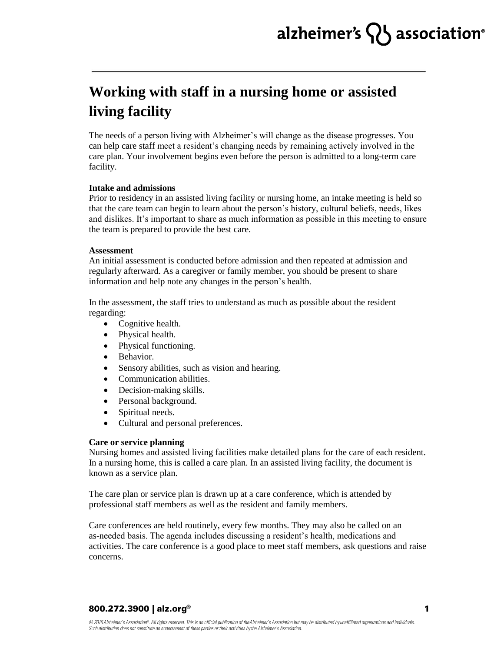# alzheimer's  $\{ \}$  association<sup>®</sup>

## **Working with staff in a nursing home or assisted living facility**

The needs of a person living with Alzheimer's will change as the disease progresses. You can help care staff meet a resident's changing needs by remaining actively involved in the care plan. Your involvement begins even before the person is admitted to a long-term care facility.

#### **Intake and admissions**

Prior to residency in an assisted living facility or nursing home, an intake meeting is held so that the care team can begin to learn about the person's history, cultural beliefs, needs, likes and dislikes. It's important to share as much information as possible in this meeting to ensure the team is prepared to provide the best care.

#### **Assessment**

An initial assessment is conducted before admission and then repeated at admission and regularly afterward. As a caregiver or family member, you should be present to share information and help note any changes in the person's health.

In the assessment, the staff tries to understand as much as possible about the resident regarding:

- Cognitive health.
- Physical health.
- Physical functioning.
- Behavior.
- Sensory abilities, such as vision and hearing.
- Communication abilities.
- Decision-making skills.
- Personal background.
- Spiritual needs.
- Cultural and personal preferences.

### **Care or service planning**

Nursing homes and assisted living facilities make detailed plans for the care of each resident. In a nursing home, this is called a care plan. In an assisted living facility, the document is known as a service plan.

The care plan or service plan is drawn up at a care conference, which is attended by professional staff members as well as the resident and family members.

Care conferences are held routinely, every few months. They may also be called on an as-needed basis. The agenda includes discussing a resident's health, medications and activities. The care conference is a good place to meet staff members, ask questions and raise concerns.

### 800.272.3900 | alz.org<sup>®</sup>